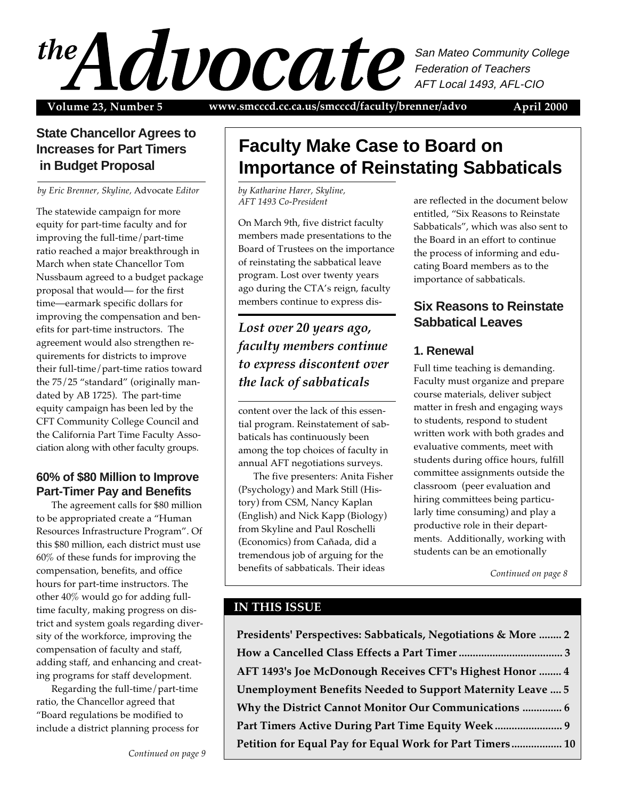# $\mathcal{A}$ San Mateo Community College Federation of Teachers AFT Local 1493, AFL-CIO

Volume 23, Number 5 www.smcccd.cc.ca.us/smcccd/faculty/brenner/advo April 2000

## **State Chancellor Agrees to Increases for Part Timers in Budget Proposal**

*by Eric Brenner, Skyline,* Advocate *Editor*

The statewide campaign for more equity for part-time faculty and for improving the full-time/part-time ratio reached a major breakthrough in March when state Chancellor Tom Nussbaum agreed to a budget package proposal that would— for the first time—earmark specific dollars for improving the compensation and benefits for part-time instructors. The agreement would also strengthen requirements for districts to improve their full-time/part-time ratios toward the 75/25 "standard" (originally mandated by AB 1725). The part-time equity campaign has been led by the CFT Community College Council and the California Part Time Faculty Association along with other faculty groups.

## **60% of \$80 Million to Improve Part-Timer Pay and Benefits**

The agreement calls for \$80 million to be appropriated create a "Human Resources Infrastructure Program". Of this \$80 million, each district must use 60% of these funds for improving the compensation, benefits, and office hours for part-time instructors. The other 40% would go for adding fulltime faculty, making progress on district and system goals regarding diversity of the workforce, improving the compensation of faculty and staff, adding staff, and enhancing and creating programs for staff development.

Regarding the full-time/part-time ratio, the Chancellor agreed that "Board regulations be modified to include a district planning process for

*Continued on page 9*

# **Faculty Make Case to Board on Importance of Reinstating Sabbaticals**

*by Katharine Harer, Skyline, AFT 1493 Co-President*

On March 9th, five district faculty members made presentations to the Board of Trustees on the importance of reinstating the sabbatical leave program. Lost over twenty years ago during the CTA's reign, faculty members continue to express dis-

# *Lost over 20 years ago, faculty members continue to express discontent over the lack of sabbaticals*

content over the lack of this essential program. Reinstatement of sabbaticals has continuously been among the top choices of faculty in annual AFT negotiations surveys.

The five presenters: Anita Fisher (Psychology) and Mark Still (History) from CSM, Nancy Kaplan (English) and Nick Kapp (Biology) from Skyline and Paul Roschelli (Economics) from Cañada, did a tremendous job of arguing for the benefits of sabbaticals. Their ideas

are reflected in the document below entitled, "Six Reasons to Reinstate Sabbaticals", which was also sent to the Board in an effort to continue the process of informing and educating Board members as to the importance of sabbaticals.

## **Six Reasons to Reinstate Sabbatical Leaves**

## **1. Renewal**

Full time teaching is demanding. Faculty must organize and prepare course materials, deliver subject matter in fresh and engaging ways to students, respond to student written work with both grades and evaluative comments, meet with students during office hours, fulfill committee assignments outside the classroom (peer evaluation and hiring committees being particularly time consuming) and play a productive role in their departments. Additionally, working with students can be an emotionally

*Continued on page 8*

## **IN THIS ISSUE**

**Presidents' Perspectives: Sabbaticals, Negotiations & More ........ 2 How a Cancelled Class Effects a Part Timer ..................................... 3 AFT 1493's Joe McDonough Receives CFT's Highest Honor ........ 4 Unemployment Benefits Needed to Support Maternity Leave .... 5 Why the District Cannot Monitor Our Communications .............. 6 Part Timers Active During Part Time Equity Week ........................ 9 Petition for Equal Pay for Equal Work for Part Timers.................. 10**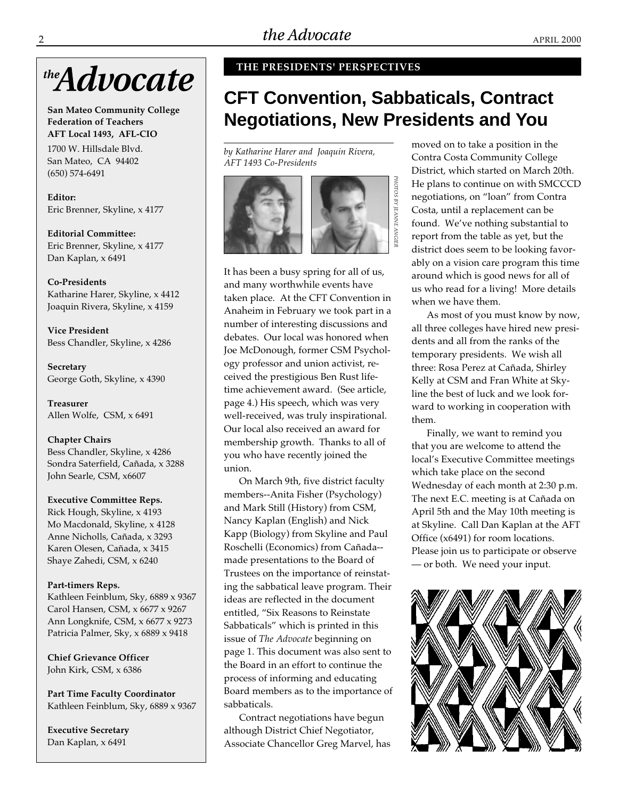

**San Mateo Community College Federation of Teachers AFT Local 1493, AFL-CIO**

1700 W. Hillsdale Blvd. San Mateo, CA 94402 (650) 574-6491

**Editor:** Eric Brenner, Skyline, x 4177

**Editorial Committee:** Eric Brenner, Skyline, x 4177 Dan Kaplan, x 6491

**Co-Presidents** Katharine Harer, Skyline, x 4412 Joaquin Rivera, Skyline, x 4159

**Vice President** Bess Chandler, Skyline, x 4286

**Secretary** George Goth, Skyline, x 4390

**Treasurer** Allen Wolfe, CSM, x 6491

**Chapter Chairs** Bess Chandler, Skyline, x 4286 Sondra Saterfield, Cañada, x 3288 John Searle, CSM, x6607

**Executive Committee Reps.**

Rick Hough, Skyline, x 4193 Mo Macdonald, Skyline, x 4128 Anne Nicholls, Cañada, x 3293 Karen Olesen, Cañada, x 3415 Shaye Zahedi, CSM, x 6240

#### **Part-timers Reps.**

Kathleen Feinblum, Sky, 6889 x 9367 Carol Hansen, CSM, x 6677 x 9267 Ann Longknife, CSM, x 6677 x 9273 Patricia Palmer, Sky, x 6889 x 9418

**Chief Grievance Officer** John Kirk, CSM, x 6386

**Part Time Faculty Coordinator** Kathleen Feinblum, Sky, 6889 x 9367

**Executive Secretary** Dan Kaplan, x 6491

#### **THE PRESIDENTS' PERSPECTIVES**

# **CFT Convention, Sabbaticals, Contract Negotiations, New Presidents and You**

*by Katharine Harer and Joaquin Rivera, AFT 1493 Co-Presidents*



It has been a busy spring for all of us, and many worthwhile events have taken place. At the CFT Convention in Anaheim in February we took part in a number of interesting discussions and debates. Our local was honored when Joe McDonough, former CSM Psychology professor and union activist, received the prestigious Ben Rust lifetime achievement award. (See article, page 4.) His speech, which was very well-received, was truly inspirational. Our local also received an award for membership growth. Thanks to all of you who have recently joined the union.

On March 9th, five district faculty members--Anita Fisher (Psychology) and Mark Still (History) from CSM, Nancy Kaplan (English) and Nick Kapp (Biology) from Skyline and Paul Roschelli (Economics) from Cañada- made presentations to the Board of Trustees on the importance of reinstating the sabbatical leave program. Their ideas are reflected in the document entitled, "Six Reasons to Reinstate Sabbaticals" which is printed in this issue of *The Advocate* beginning on page 1. This document was also sent to the Board in an effort to continue the process of informing and educating Board members as to the importance of sabbaticals.

Contract negotiations have begun although District Chief Negotiator, Associate Chancellor Greg Marvel, has moved on to take a position in the Contra Costa Community College District, which started on March 20th. He plans to continue on with SMCCCD negotiations, on "loan" from Contra Costa, until a replacement can be found. We've nothing substantial to report from the table as yet, but the district does seem to be looking favorably on a vision care program this time around which is good news for all of us who read for a living! More details when we have them.

As most of you must know by now, all three colleges have hired new presidents and all from the ranks of the temporary presidents. We wish all three: Rosa Perez at Cañada, Shirley Kelly at CSM and Fran White at Skyline the best of luck and we look forward to working in cooperation with them.

Finally, we want to remind you that you are welcome to attend the local's Executive Committee meetings which take place on the second Wednesday of each month at 2:30 p.m. The next E.C. meeting is at Cañada on April 5th and the May 10th meeting is at Skyline. Call Dan Kaplan at the AFT Office (x6491) for room locations. Please join us to participate or observe — or both. We need your input.

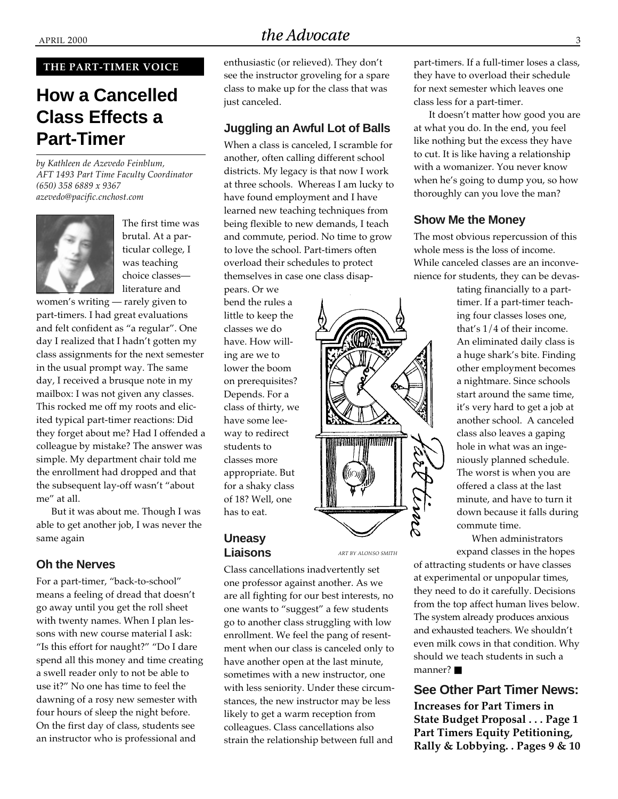#### **THE PART-TIMER VOICE**

# **How a Cancelled Class Effects a Part-Timer**

*by Kathleen de Azevedo Feinblum, AFT 1493 Part Time Faculty Coordinator (650) 358 6889 x 9367 azevedo@pacific.cnchost.com*



The first time was brutal. At a particular college, I was teaching choice classes literature and

women's writing — rarely given to part-timers. I had great evaluations and felt confident as "a regular". One day I realized that I hadn't gotten my class assignments for the next semester in the usual prompt way. The same day, I received a brusque note in my mailbox: I was not given any classes. This rocked me off my roots and elicited typical part-timer reactions: Did they forget about me? Had I offended a colleague by mistake? The answer was simple. My department chair told me the enrollment had dropped and that the subsequent lay-off wasn't "about me" at all.

But it was about me. Though I was able to get another job, I was never the same again

#### **Oh the Nerves**

For a part-timer, "back-to-school" means a feeling of dread that doesn't go away until you get the roll sheet with twenty names. When I plan lessons with new course material I ask: "Is this effort for naught?" "Do I dare spend all this money and time creating a swell reader only to not be able to use it?" No one has time to feel the dawning of a rosy new semester with four hours of sleep the night before. On the first day of class, students see an instructor who is professional and

# APRIL 2000 3

enthusiastic (or relieved). They don't see the instructor groveling for a spare class to make up for the class that was just canceled.

#### **Juggling an Awful Lot of Balls**

When a class is canceled, I scramble for another, often calling different school districts. My legacy is that now I work at three schools. Whereas I am lucky to have found employment and I have learned new teaching techniques from being flexible to new demands, I teach and commute, period. No time to grow to love the school. Part-timers often overload their schedules to protect themselves in case one class disap-

pears. Or we bend the rules a little to keep the classes we do have. How willing are we to lower the boom on prerequisites? Depends. For a class of thirty, we have some leeway to redirect students to classes more appropriate. But for a shaky class of 18? Well, one has to eat.

### **Uneasy Liaisons**

*ART BY ALONSO SMITH*

Class cancellations inadvertently set one professor against another. As we are all fighting for our best interests, no one wants to "suggest" a few students go to another class struggling with low enrollment. We feel the pang of resentment when our class is canceled only to have another open at the last minute, sometimes with a new instructor, one with less seniority. Under these circumstances, the new instructor may be less likely to get a warm reception from colleagues. Class cancellations also strain the relationship between full and

part-timers. If a full-timer loses a class, they have to overload their schedule for next semester which leaves one class less for a part-timer.

It doesn't matter how good you are at what you do. In the end, you feel like nothing but the excess they have to cut. It is like having a relationship with a womanizer. You never know when he's going to dump you, so how thoroughly can you love the man?

#### **Show Me the Money**

The most obvious repercussion of this whole mess is the loss of income. While canceled classes are an inconvenience for students, they can be devas-

> tating financially to a parttimer. If a part-timer teaching four classes loses one, that's 1/4 of their income. An eliminated daily class is a huge shark's bite. Finding other employment becomes a nightmare. Since schools start around the same time, it's very hard to get a job at another school. A canceled class also leaves a gaping hole in what was an ingeniously planned schedule. The worst is when you are offered a class at the last minute, and have to turn it down because it falls during commute time.

When administrators expand classes in the hopes

of attracting students or have classes at experimental or unpopular times, they need to do it carefully. Decisions from the top affect human lives below. The system already produces anxious and exhausted teachers. We shouldn't even milk cows in that condition. Why should we teach students in such a manner? ■

## **See Other Part Timer News:**

**Increases for Part Timers in State Budget Proposal . . . Page 1 Part Timers Equity Petitioning, Rally & Lobbying. . Pages 9 & 10**

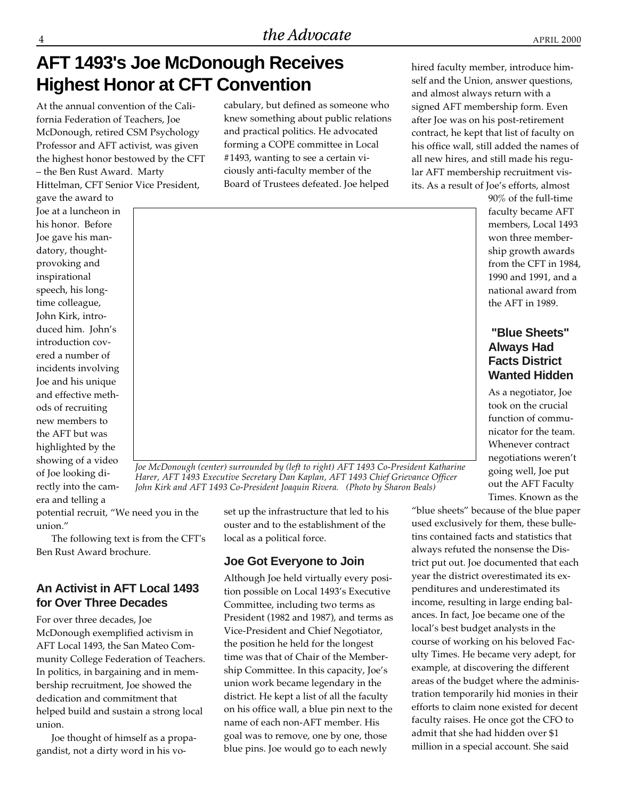# **AFT 1493's Joe McDonough Receives Highest Honor at CFT Convention**

At the annual convention of the California Federation of Teachers, Joe McDonough, retired CSM Psychology Professor and AFT activist, was given the highest honor bestowed by the CFT – the Ben Rust Award. Marty Hittelman, CFT Senior Vice President,

gave the award to Joe at a luncheon in his honor. Before Joe gave his mandatory, thoughtprovoking and inspirational speech, his longtime colleague, John Kirk, introduced him. John's introduction covered a number of incidents involving Joe and his unique and effective methods of recruiting new members to the AFT but was highlighted by the showing of a video of Joe looking directly into the camera and telling a

cabulary, but defined as someone who knew something about public relations and practical politics. He advocated forming a COPE committee in Local #1493, wanting to see a certain viciously anti-faculty member of the Board of Trustees defeated. Joe helped

hired faculty member, introduce himself and the Union, answer questions, and almost always return with a signed AFT membership form. Even after Joe was on his post-retirement contract, he kept that list of faculty on his office wall, still added the names of all new hires, and still made his regular AFT membership recruitment visits. As a result of Joe's efforts, almost



*Joe McDonough (center) surrounded by (left to right) AFT 1493 Co-President Katharine Harer, AFT 1493 Executive Secretary Dan Kaplan, AFT 1493 Chief Grievance Officer John Kirk and AFT 1493 Co-President Joaquin Rivera. (Photo by Sharon Beals)*

potential recruit, "We need you in the union."

The following text is from the CFT's Ben Rust Award brochure.

## **An Activist in AFT Local 1493 for Over Three Decades**

For over three decades, Joe McDonough exemplified activism in AFT Local 1493, the San Mateo Community College Federation of Teachers. In politics, in bargaining and in membership recruitment, Joe showed the dedication and commitment that helped build and sustain a strong local union.

Joe thought of himself as a propagandist, not a dirty word in his voset up the infrastructure that led to his ouster and to the establishment of the local as a political force.

### **Joe Got Everyone to Join**

Although Joe held virtually every position possible on Local 1493's Executive Committee, including two terms as President (1982 and 1987), and terms as Vice-President and Chief Negotiator, the position he held for the longest time was that of Chair of the Membership Committee. In this capacity, Joe's union work became legendary in the district. He kept a list of all the faculty on his office wall, a blue pin next to the name of each non-AFT member. His goal was to remove, one by one, those blue pins. Joe would go to each newly

90% of the full-time faculty became AFT members, Local 1493 won three membership growth awards from the CFT in 1984, 1990 and 1991, and a national award from the AFT in 1989.

## **"Blue Sheets" Always Had Facts District Wanted Hidden**

As a negotiator, Joe took on the crucial function of communicator for the team. Whenever contract negotiations weren't going well, Joe put out the AFT Faculty Times. Known as the

"blue sheets" because of the blue paper used exclusively for them, these bulletins contained facts and statistics that always refuted the nonsense the District put out. Joe documented that each year the district overestimated its expenditures and underestimated its income, resulting in large ending balances. In fact, Joe became one of the local's best budget analysts in the course of working on his beloved Faculty Times. He became very adept, for example, at discovering the different areas of the budget where the administration temporarily hid monies in their efforts to claim none existed for decent faculty raises. He once got the CFO to admit that she had hidden over \$1 million in a special account. She said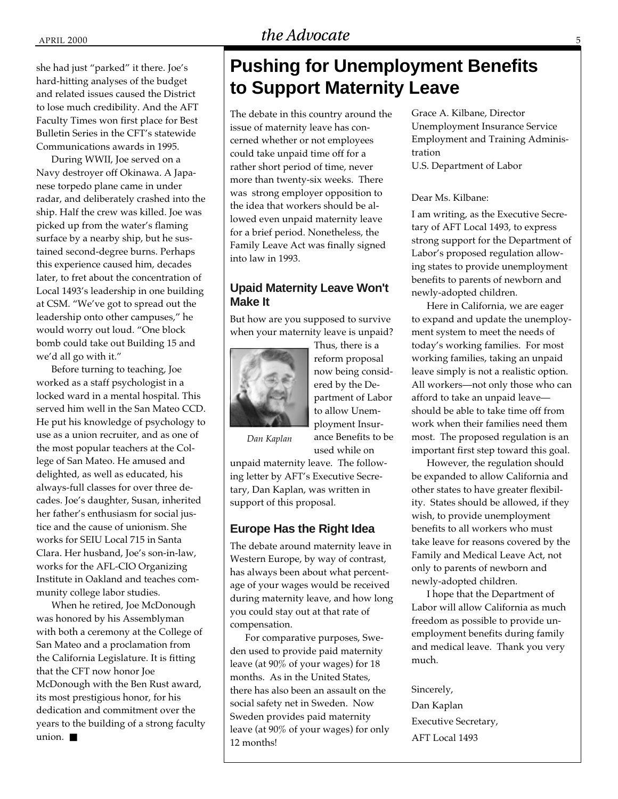APRIL 2000 5

#### she had just "parked" it there. Joe's hard-hitting analyses of the budget and related issues caused the District to lose much credibility. And the AFT Faculty Times won first place for Best Bulletin Series in the CFT's statewide Communications awards in 1995.

During WWII, Joe served on a Navy destroyer off Okinawa. A Japanese torpedo plane came in under radar, and deliberately crashed into the ship. Half the crew was killed. Joe was picked up from the water's flaming surface by a nearby ship, but he sustained second-degree burns. Perhaps this experience caused him, decades later, to fret about the concentration of Local 1493's leadership in one building at CSM. "We've got to spread out the leadership onto other campuses," he would worry out loud. "One block bomb could take out Building 15 and we'd all go with it."

Before turning to teaching, Joe worked as a staff psychologist in a locked ward in a mental hospital. This served him well in the San Mateo CCD. He put his knowledge of psychology to use as a union recruiter, and as one of the most popular teachers at the College of San Mateo. He amused and delighted, as well as educated, his always-full classes for over three decades. Joe's daughter, Susan, inherited her father's enthusiasm for social justice and the cause of unionism. She works for SEIU Local 715 in Santa Clara. Her husband, Joe's son-in-law, works for the AFL-CIO Organizing Institute in Oakland and teaches community college labor studies.

When he retired, Joe McDonough was honored by his Assemblyman with both a ceremony at the College of San Mateo and a proclamation from the California Legislature. It is fitting that the CFT now honor Joe McDonough with the Ben Rust award, its most prestigious honor, for his dedication and commitment over the years to the building of a strong faculty union. ■

# **Pushing for Unemployment Benefits to Support Maternity Leave**

The debate in this country around the issue of maternity leave has concerned whether or not employees could take unpaid time off for a rather short period of time, never more than twenty-six weeks. There was strong employer opposition to the idea that workers should be allowed even unpaid maternity leave for a brief period. Nonetheless, the Family Leave Act was finally signed into law in 1993.

### **Upaid Maternity Leave Won't Make It**

But how are you supposed to survive when your maternity leave is unpaid?



Thus, there is a reform proposal now being considered by the Department of Labor to allow Unemployment Insurance Benefits to be used while on

*Dan Kaplan*

unpaid maternity leave. The following letter by AFT's Executive Secretary, Dan Kaplan, was written in support of this proposal.

#### **Europe Has the Right Idea**

The debate around maternity leave in Western Europe, by way of contrast, has always been about what percentage of your wages would be received during maternity leave, and how long you could stay out at that rate of compensation.

For comparative purposes, Sweden used to provide paid maternity leave (at 90% of your wages) for 18 months. As in the United States, there has also been an assault on the social safety net in Sweden. Now Sweden provides paid maternity leave (at 90% of your wages) for only 12 months!

Grace A. Kilbane, Director Unemployment Insurance Service Employment and Training Administration U.S. Department of Labor

#### Dear Ms. Kilbane:

I am writing, as the Executive Secretary of AFT Local 1493, to express strong support for the Department of Labor's proposed regulation allowing states to provide unemployment benefits to parents of newborn and newly-adopted children.

Here in California, we are eager to expand and update the unemployment system to meet the needs of today's working families. For most working families, taking an unpaid leave simply is not a realistic option. All workers—not only those who can afford to take an unpaid leave should be able to take time off from work when their families need them most. The proposed regulation is an important first step toward this goal.

However, the regulation should be expanded to allow California and other states to have greater flexibility. States should be allowed, if they wish, to provide unemployment benefits to all workers who must take leave for reasons covered by the Family and Medical Leave Act, not only to parents of newborn and newly-adopted children.

I hope that the Department of Labor will allow California as much freedom as possible to provide unemployment benefits during family and medical leave. Thank you very much.

Sincerely,

Dan Kaplan Executive Secretary, AFT Local 1493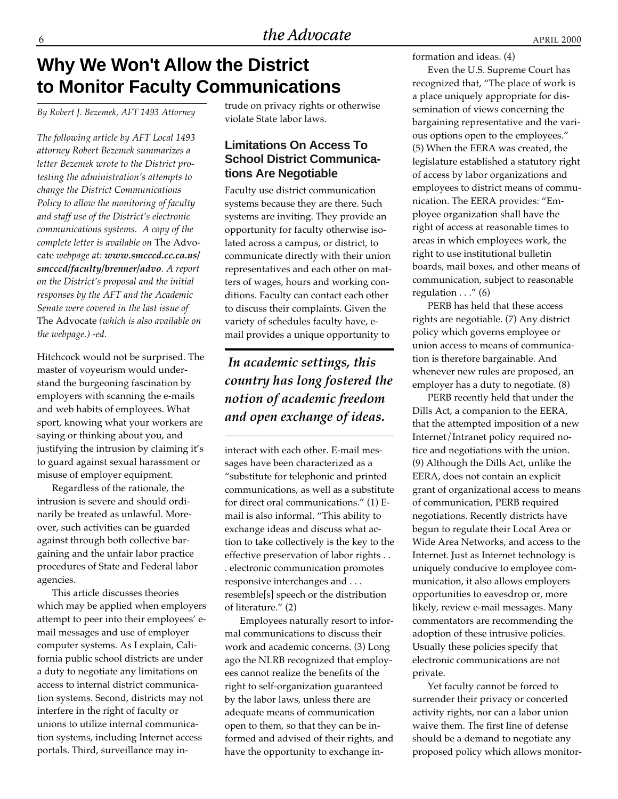# **Why We Won't Allow the District to Monitor Faculty Communications**

*By Robert J. Bezemek, AFT 1493 Attorney*

*The following article by AFT Local 1493 attorney Robert Bezemek summarizes a letter Bezemek wrote to the District protesting the administration's attempts to change the District Communications Policy to allow the monitoring of faculty and staff use of the District's electronic communications systems. A copy of the complete letter is available on* The Advocate *webpage at: www.smcccd.cc.ca.us/ smcccd/faculty/brenner/advo. A report on the District's proposal and the initial responses by the AFT and the Academic Senate were covered in the last issue of* The Advocate *(which is also available on the webpage.) -ed.*

Hitchcock would not be surprised. The master of voyeurism would understand the burgeoning fascination by employers with scanning the e-mails and web habits of employees. What sport, knowing what your workers are saying or thinking about you, and justifying the intrusion by claiming it's to guard against sexual harassment or misuse of employer equipment.

Regardless of the rationale, the intrusion is severe and should ordinarily be treated as unlawful. Moreover, such activities can be guarded against through both collective bargaining and the unfair labor practice procedures of State and Federal labor agencies.

This article discusses theories which may be applied when employers attempt to peer into their employees' email messages and use of employer computer systems. As I explain, California public school districts are under a duty to negotiate any limitations on access to internal district communication systems. Second, districts may not interfere in the right of faculty or unions to utilize internal communication systems, including Internet access portals. Third, surveillance may intrude on privacy rights or otherwise violate State labor laws.

### **Limitations On Access To School District Communications Are Negotiable**

Faculty use district communication systems because they are there. Such systems are inviting. They provide an opportunity for faculty otherwise isolated across a campus, or district, to communicate directly with their union representatives and each other on matters of wages, hours and working conditions. Faculty can contact each other to discuss their complaints. Given the variety of schedules faculty have, email provides a unique opportunity to

# *In academic settings, this country has long fostered the notion of academic freedom and open exchange of ideas.*

interact with each other. E-mail messages have been characterized as a "substitute for telephonic and printed communications, as well as a substitute for direct oral communications." (1) Email is also informal. "This ability to exchange ideas and discuss what action to take collectively is the key to the effective preservation of labor rights . . . electronic communication promotes responsive interchanges and . . . resemble[s] speech or the distribution of literature." (2)

Employees naturally resort to informal communications to discuss their work and academic concerns. (3) Long ago the NLRB recognized that employees cannot realize the benefits of the right to self-organization guaranteed by the labor laws, unless there are adequate means of communication open to them, so that they can be informed and advised of their rights, and have the opportunity to exchange information and ideas. (4)

Even the U.S. Supreme Court has recognized that, "The place of work is a place uniquely appropriate for dissemination of views concerning the bargaining representative and the various options open to the employees." (5) When the EERA was created, the legislature established a statutory right of access by labor organizations and employees to district means of communication. The EERA provides: "Employee organization shall have the right of access at reasonable times to areas in which employees work, the right to use institutional bulletin boards, mail boxes, and other means of communication, subject to reasonable regulation  $\dots$ " (6)

PERB has held that these access rights are negotiable. (7) Any district policy which governs employee or union access to means of communication is therefore bargainable. And whenever new rules are proposed, an employer has a duty to negotiate. (8)

PERB recently held that under the Dills Act, a companion to the EERA, that the attempted imposition of a new Internet/Intranet policy required notice and negotiations with the union. (9) Although the Dills Act, unlike the EERA, does not contain an explicit grant of organizational access to means of communication, PERB required negotiations. Recently districts have begun to regulate their Local Area or Wide Area Networks, and access to the Internet. Just as Internet technology is uniquely conducive to employee communication, it also allows employers opportunities to eavesdrop or, more likely, review e-mail messages. Many commentators are recommending the adoption of these intrusive policies. Usually these policies specify that electronic communications are not private.

Yet faculty cannot be forced to surrender their privacy or concerted activity rights, nor can a labor union waive them. The first line of defense should be a demand to negotiate any proposed policy which allows monitor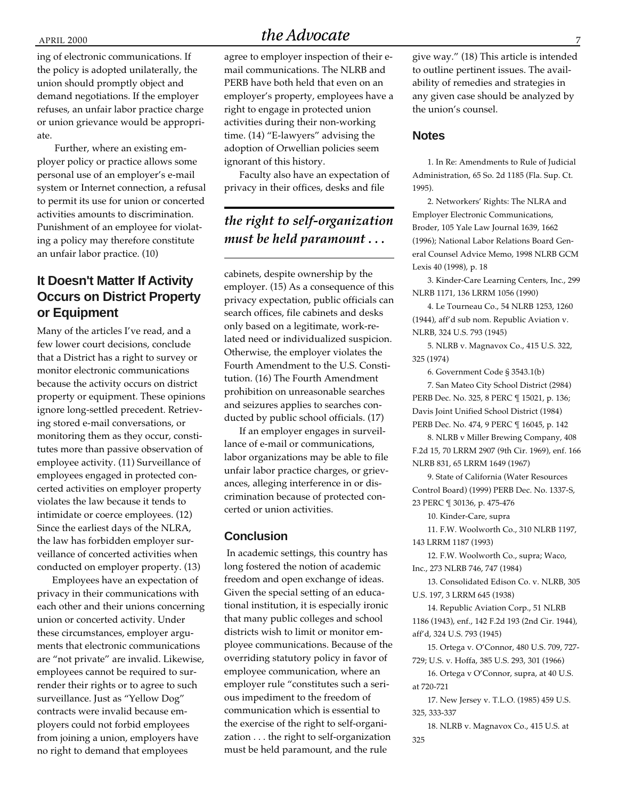ing of electronic communications. If the policy is adopted unilaterally, the union should promptly object and demand negotiations. If the employer refuses, an unfair labor practice charge or union grievance would be appropriate.

 Further, where an existing employer policy or practice allows some personal use of an employer's e-mail system or Internet connection, a refusal to permit its use for union or concerted activities amounts to discrimination. Punishment of an employee for violating a policy may therefore constitute an unfair labor practice. (10)

## **It Doesn't Matter If Activity Occurs on District Property or Equipment**

Many of the articles I've read, and a few lower court decisions, conclude that a District has a right to survey or monitor electronic communications because the activity occurs on district property or equipment. These opinions ignore long-settled precedent. Retrieving stored e-mail conversations, or monitoring them as they occur, constitutes more than passive observation of employee activity. (11) Surveillance of employees engaged in protected concerted activities on employer property violates the law because it tends to intimidate or coerce employees. (12) Since the earliest days of the NLRA, the law has forbidden employer surveillance of concerted activities when conducted on employer property. (13)

Employees have an expectation of privacy in their communications with each other and their unions concerning union or concerted activity. Under these circumstances, employer arguments that electronic communications are "not private" are invalid. Likewise, employees cannot be required to surrender their rights or to agree to such surveillance. Just as "Yellow Dog" contracts were invalid because employers could not forbid employees from joining a union, employers have no right to demand that employees

# APRIL 2000

**STATE BUDGET** mail communications. The NLRB and agree to employer inspection of their e-PERB have both held that even on an employer's property, employees have a right to engage in protected union activities during their non-working time. (14) "E-lawyers" advising the adoption of Orwellian policies seem ignorant of this history.

Faculty also have an expectation of privacy in their offices, desks and file

## *the right to self-organization must be held paramount . . .*

cabinets, despite ownership by the employer. (15) As a consequence of this privacy expectation, public officials can search offices, file cabinets and desks only based on a legitimate, work-related need or individualized suspicion. Otherwise, the employer violates the Fourth Amendment to the U.S. Constitution. (16) The Fourth Amendment prohibition on unreasonable searches and seizures applies to searches conducted by public school officials. (17)

If an employer engages in surveillance of e-mail or communications, labor organizations may be able to file unfair labor practice charges, or grievances, alleging interference in or discrimination because of protected concerted or union activities.

#### **Conclusion**

 In academic settings, this country has long fostered the notion of academic freedom and open exchange of ideas. Given the special setting of an educational institution, it is especially ironic that many public colleges and school districts wish to limit or monitor employee communications. Because of the overriding statutory policy in favor of employee communication, where an employer rule "constitutes such a serious impediment to the freedom of communication which is essential to the exercise of the right to self-organization . . . the right to self-organization must be held paramount, and the rule

give way." (18) This article is intended to outline pertinent issues. The availability of remedies and strategies in any given case should be analyzed by the union's counsel.

#### **Notes**

1. In Re: Amendments to Rule of Judicial Administration, 65 So. 2d 1185 (Fla. Sup. Ct. 1995).

2. Networkers' Rights: The NLRA and Employer Electronic Communications, Broder, 105 Yale Law Journal 1639, 1662 (1996); National Labor Relations Board General Counsel Advice Memo, 1998 NLRB GCM Lexis 40 (1998), p. 18

3. Kinder-Care Learning Centers, Inc., 299 NLRB 1171, 136 LRRM 1056 (1990)

4. Le Tourneau Co., 54 NLRB 1253, 1260 (1944), aff'd sub nom. Republic Aviation v. NLRB, 324 U.S. 793 (1945)

5. NLRB v. Magnavox Co., 415 U.S. 322, 325 (1974)

6. Government Code § 3543.1(b)

7. San Mateo City School District (2984) PERB Dec. No. 325, 8 PERC ¶ 15021, p. 136; Davis Joint Unified School District (1984) PERB Dec. No. 474, 9 PERC ¶ 16045, p. 142

8. NLRB v Miller Brewing Company, 408 F.2d 15, 70 LRRM 2907 (9th Cir. 1969), enf. 166 NLRB 831, 65 LRRM 1649 (1967)

9. State of California (Water Resources Control Board) (1999) PERB Dec. No. 1337-S, 23 PERC ¶ 30136, p. 475-476

10. Kinder-Care, supra

11. F.W. Woolworth Co., 310 NLRB 1197, 143 LRRM 1187 (1993)

12. F.W. Woolworth Co., supra; Waco, Inc., 273 NLRB 746, 747 (1984)

13. Consolidated Edison Co. v. NLRB, 305 U.S. 197, 3 LRRM 645 (1938)

14. Republic Aviation Corp., 51 NLRB 1186 (1943), enf., 142 F.2d 193 (2nd Cir. 1944), aff'd, 324 U.S. 793 (1945)

15. Ortega v. O'Connor, 480 U.S. 709, 727-

729; U.S. v. Hoffa, 385 U.S. 293, 301 (1966)

16. Ortega v O'Connor, supra, at 40 U.S. at 720-721

17. New Jersey v. T.L.O. (1985) 459 U.S. 325, 333-337

18. NLRB v. Magnavox Co., 415 U.S. at 325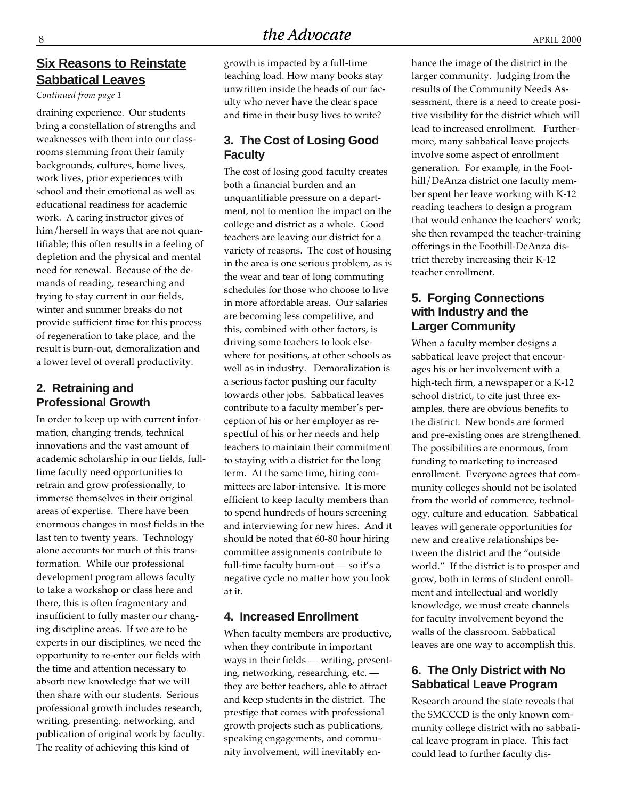## **Six Reasons to Reinstate Sabbatical Leaves**

*Continued from page 1*

draining experience. Our students bring a constellation of strengths and weaknesses with them into our classrooms stemming from their family backgrounds, cultures, home lives, work lives, prior experiences with school and their emotional as well as educational readiness for academic work. A caring instructor gives of him/herself in ways that are not quantifiable; this often results in a feeling of depletion and the physical and mental need for renewal. Because of the demands of reading, researching and trying to stay current in our fields, winter and summer breaks do not provide sufficient time for this process of regeneration to take place, and the result is burn-out, demoralization and a lower level of overall productivity.

## **2. Retraining and Professional Growth**

In order to keep up with current information, changing trends, technical innovations and the vast amount of academic scholarship in our fields, fulltime faculty need opportunities to retrain and grow professionally, to immerse themselves in their original areas of expertise. There have been enormous changes in most fields in the last ten to twenty years. Technology alone accounts for much of this transformation. While our professional development program allows faculty to take a workshop or class here and there, this is often fragmentary and insufficient to fully master our changing discipline areas. If we are to be experts in our disciplines, we need the opportunity to re-enter our fields with the time and attention necessary to absorb new knowledge that we will then share with our students. Serious professional growth includes research, writing, presenting, networking, and publication of original work by faculty. The reality of achieving this kind of

growth is impacted by a full-time teaching load. How many books stay unwritten inside the heads of our faculty who never have the clear space and time in their busy lives to write?

## **3. The Cost of Losing Good Faculty**

The cost of losing good faculty creates both a financial burden and an unquantifiable pressure on a department, not to mention the impact on the college and district as a whole. Good teachers are leaving our district for a variety of reasons. The cost of housing in the area is one serious problem, as is the wear and tear of long commuting schedules for those who choose to live in more affordable areas. Our salaries are becoming less competitive, and this, combined with other factors, is driving some teachers to look elsewhere for positions, at other schools as well as in industry. Demoralization is a serious factor pushing our faculty towards other jobs. Sabbatical leaves contribute to a faculty member's perception of his or her employer as respectful of his or her needs and help teachers to maintain their commitment to staying with a district for the long term. At the same time, hiring committees are labor-intensive. It is more efficient to keep faculty members than to spend hundreds of hours screening and interviewing for new hires. And it should be noted that 60-80 hour hiring committee assignments contribute to full-time faculty burn-out — so it's a negative cycle no matter how you look at it.

### **4. Increased Enrollment**

When faculty members are productive, when they contribute in important ways in their fields — writing, presenting, networking, researching, etc. they are better teachers, able to attract and keep students in the district. The prestige that comes with professional growth projects such as publications, speaking engagements, and community involvement, will inevitably enhance the image of the district in the larger community. Judging from the results of the Community Needs Assessment, there is a need to create positive visibility for the district which will lead to increased enrollment. Furthermore, many sabbatical leave projects involve some aspect of enrollment generation. For example, in the Foothill/DeAnza district one faculty member spent her leave working with K-12 reading teachers to design a program that would enhance the teachers' work; she then revamped the teacher-training offerings in the Foothill-DeAnza district thereby increasing their K-12 teacher enrollment.

## **5. Forging Connections with Industry and the Larger Community**

When a faculty member designs a sabbatical leave project that encourages his or her involvement with a high-tech firm, a newspaper or a K-12 school district, to cite just three examples, there are obvious benefits to the district. New bonds are formed and pre-existing ones are strengthened. The possibilities are enormous, from funding to marketing to increased enrollment. Everyone agrees that community colleges should not be isolated from the world of commerce, technology, culture and education. Sabbatical leaves will generate opportunities for new and creative relationships between the district and the "outside world." If the district is to prosper and grow, both in terms of student enrollment and intellectual and worldly knowledge, we must create channels for faculty involvement beyond the walls of the classroom. Sabbatical leaves are one way to accomplish this.

## **6. The Only District with No Sabbatical Leave Program**

Research around the state reveals that the SMCCCD is the only known community college district with no sabbatical leave program in place. This fact could lead to further faculty dis-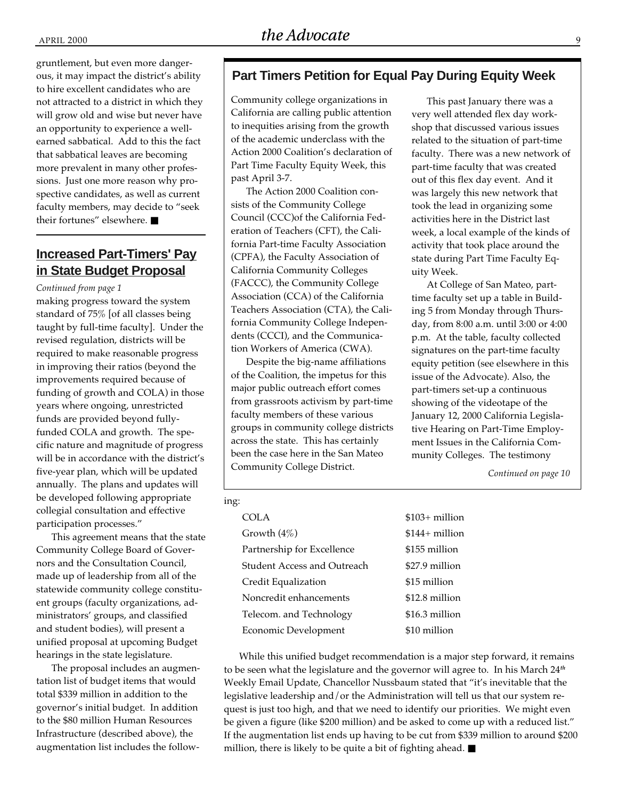gruntlement, but even more dangerous, it may impact the district's ability to hire excellent candidates who are not attracted to a district in which they will grow old and wise but never have an opportunity to experience a wellearned sabbatical. Add to this the fact that sabbatical leaves are becoming more prevalent in many other professions. Just one more reason why prospective candidates, as well as current faculty members, may decide to "seek their fortunes" elsewhere. ■

## **Increased Part-Timers' Pay in State Budget Proposal**

#### *Continued from page 1*

making progress toward the system standard of 75% [of all classes being taught by full-time faculty]. Under the revised regulation, districts will be required to make reasonable progress in improving their ratios (beyond the improvements required because of funding of growth and COLA) in those years where ongoing, unrestricted funds are provided beyond fullyfunded COLA and growth. The specific nature and magnitude of progress will be in accordance with the district's five-year plan, which will be updated annually. The plans and updates will be developed following appropriate collegial consultation and effective participation processes."

This agreement means that the state Community College Board of Governors and the Consultation Council, made up of leadership from all of the statewide community college constituent groups (faculty organizations, administrators' groups, and classified and student bodies), will present a unified proposal at upcoming Budget hearings in the state legislature.

The proposal includes an augmentation list of budget items that would total \$339 million in addition to the governor's initial budget. In addition to the \$80 million Human Resources Infrastructure (described above), the augmentation list includes the follow-

#### **Part Timers Petition for Equal Pay During Equity Week**

Community college organizations in California are calling public attention to inequities arising from the growth of the academic underclass with the Action 2000 Coalition's declaration of Part Time Faculty Equity Week, this past April 3-7.

The Action 2000 Coalition consists of the Community College Council (CCC)of the California Federation of Teachers (CFT), the California Part-time Faculty Association (CPFA), the Faculty Association of California Community Colleges (FACCC), the Community College Association (CCA) of the California Teachers Association (CTA), the California Community College Independents (CCCI), and the Communication Workers of America (CWA).

Despite the big-name affiliations of the Coalition, the impetus for this major public outreach effort comes from grassroots activism by part-time faculty members of these various groups in community college districts across the state. This has certainly been the case here in the San Mateo Community College District.

This past January there was a very well attended flex day workshop that discussed various issues related to the situation of part-time faculty. There was a new network of part-time faculty that was created out of this flex day event. And it was largely this new network that took the lead in organizing some activities here in the District last week, a local example of the kinds of activity that took place around the state during Part Time Faculty Equity Week.

At College of San Mateo, parttime faculty set up a table in Building 5 from Monday through Thursday, from 8:00 a.m. until 3:00 or 4:00 p.m. At the table, faculty collected signatures on the part-time faculty equity petition (see elsewhere in this issue of the Advocate). Also, the part-timers set-up a continuous showing of the videotape of the January 12, 2000 California Legislative Hearing on Part-Time Employment Issues in the California Community Colleges. The testimony

*Continued on page 10*

| ing: |                                    |                 |
|------|------------------------------------|-----------------|
|      | COLA                               | $$103+$ million |
|      | Growth $(4\%)$                     | $$144+$ million |
|      | Partnership for Excellence         | \$155 million   |
|      | <b>Student Access and Outreach</b> | \$27.9 million  |
|      | Credit Equalization                | \$15 million    |
|      | Noncredit enhancements             | \$12.8 million  |
|      | Telecom. and Technology            | \$16.3 million  |
|      | Economic Development               | \$10 million    |

While this unified budget recommendation is a major step forward, it remains to be seen what the legislature and the governor will agree to. In his March 24*th* Weekly Email Update, Chancellor Nussbaum stated that "it's inevitable that the legislative leadership and/or the Administration will tell us that our system request is just too high, and that we need to identify our priorities. We might even be given a figure (like \$200 million) and be asked to come up with a reduced list." If the augmentation list ends up having to be cut from \$339 million to around \$200 million, there is likely to be quite a bit of fighting ahead. ■